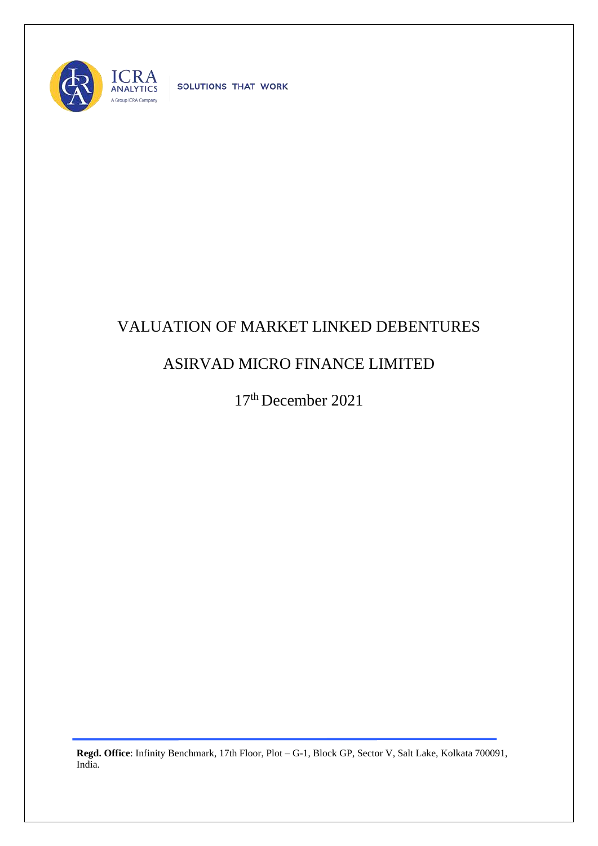

SOLUTIONS THAT WORK

## VALUATION OF MARKET LINKED DEBENTURES

## ASIRVAD MICRO FINANCE LIMITED

17 th December 2021

**Regd. Office**: Infinity Benchmark, 17th Floor, Plot – G-1, Block GP, Sector V, Salt Lake, Kolkata 700091, India.